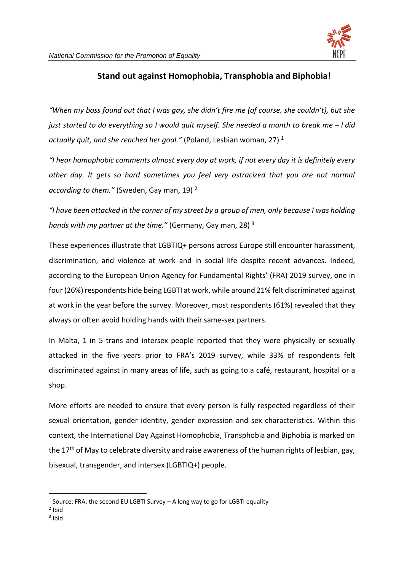

## **Stand out against Homophobia, Transphobia and Biphobia!**

*"When my boss found out that I was gay, she didn't fire me (of course, she couldn't), but she just started to do everything so I would quit myself. She needed a month to break me – I did actually quit, and she reached her goal."* (Poland, Lesbian woman, 27) <sup>1</sup>

*"I hear homophobic comments almost every day at work, if not every day it is definitely every other day. It gets so hard sometimes you feel very ostracized that you are not normal according to them."* (Sweden, Gay man, 19) <sup>2</sup>

*"I have been attacked in the corner of my street by a group of men, only because I was holding hands with my partner at the time."* (Germany, Gay man, 28) <sup>3</sup>

These experiences illustrate that LGBTIQ+ persons across Europe still encounter harassment, discrimination, and violence at work and in social life despite recent advances. Indeed, according to the European Union Agency for Fundamental Rights' (FRA) 2019 survey, one in four (26%) respondents hide being LGBTI at work, while around 21% felt discriminated against at work in the year before the survey. Moreover, most respondents (61%) revealed that they always or often avoid holding hands with their same-sex partners.

In Malta, 1 in 5 trans and intersex people reported that they were physically or sexually attacked in the five years prior to FRA's 2019 survey, while 33% of respondents felt discriminated against in many areas of life, such as going to a café, restaurant, hospital or a shop.

More efforts are needed to ensure that every person is fully respected regardless of their sexual orientation, gender identity, gender expression and sex characteristics. Within this context, the International Day Against Homophobia, Transphobia and Biphobia is marked on the 17<sup>th</sup> of May to celebrate diversity and raise awareness of the human rights of lesbian, gay, bisexual, transgender, and intersex (LGBTIQ+) people.

 $<sup>1</sup>$  Source: FRA, the second EU LGBTI Survey – A long way to go for LGBTI equality</sup>

<sup>2</sup> Ibid

<sup>3</sup> Ibid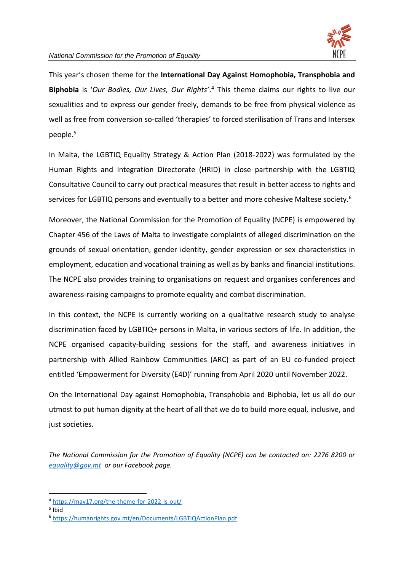

This year's chosen theme for the **International Day Against Homophobia, Transphobia and Biphobia** is '*[Our Bodies, Our Lives, Our Rights](https://may17.org/the-theme-for-2022-is-out/)'*. <sup>4</sup> This theme claims our rights to live our sexualities and to express our gender freely, demands to be free from physical violence as well as free from conversion so-called 'therapies' to forced sterilisation of Trans and Intersex people. 5

In Malta, the LGBTIQ Equality Strategy & Action Plan (2018-2022) was formulated by the Human Rights and Integration Directorate (HRID) in close partnership with the LGBTIQ Consultative Council to carry out practical measures that result in better access to rights and services for LGBTIQ persons and eventually to a better and more cohesive Maltese society.<sup>6</sup>

Moreover, the National Commission for the Promotion of Equality (NCPE) is empowered by Chapter 456 of the Laws of Malta to investigate complaints of alleged discrimination on the grounds of sexual orientation, gender identity, gender expression or sex characteristics in employment, education and vocational training as well as by banks and financial institutions. The NCPE also provides training to organisations on request and organises conferences and awareness-raising campaigns to promote equality and combat discrimination.

In this context, the NCPE is currently working on a qualitative research study to analyse discrimination faced by LGBTIQ+ persons in Malta, in various sectors of life. In addition, the NCPE organised capacity-building sessions for the staff, and awareness initiatives in partnership with Allied Rainbow Communities (ARC) as part of an EU co-funded project entitled 'Empowerment for Diversity (E4D)' running from April 2020 until November 2022.

On the International Day against Homophobia, Transphobia and Biphobia, let us all do our utmost to put human dignity at the heart of all that we do to build more equal, inclusive, and just societies.

*The National Commission for the Promotion of Equality (NCPE) can be contacted on: 2276 8200 or [equality@gov.mt](mailto:equality@gov.mt) or our Facebook page.* 

<sup>4</sup> <https://may17.org/the-theme-for-2022-is-out/>

<sup>5</sup> Ibid

<sup>6</sup> <https://humanrights.gov.mt/en/Documents/LGBTIQActionPlan.pdf>